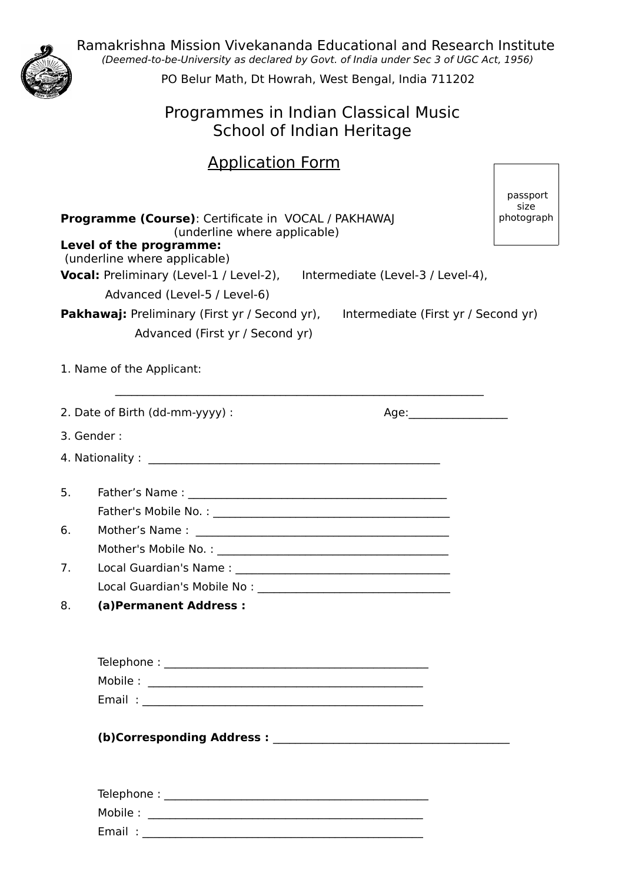Ramakrishna Mission Vivekananda Educational and Research Institute (Deemed-to-be-University as declared by Govt. of India under Sec 3 of UGC Act, 1956)



PO Belur Math, Dt Howrah, West Bengal, India 711202

## Programmes in Indian Classical Music School of Indian Heritage

# Application Form

| <b>Programme (Course):</b> Certificate in VOCAL / PAKHAWAJ<br>(underline where applicable) |                                                                                                                                             |                          |  |  |  |
|--------------------------------------------------------------------------------------------|---------------------------------------------------------------------------------------------------------------------------------------------|--------------------------|--|--|--|
|                                                                                            | Level of the programme:<br>(underline where applicable)<br><b>Vocal:</b> Preliminary (Level-1 / Level-2), Intermediate (Level-3 / Level-4), |                          |  |  |  |
|                                                                                            | Advanced (Level-5 / Level-6)                                                                                                                |                          |  |  |  |
|                                                                                            | <b>Pakhawaj:</b> Preliminary (First yr / Second yr), Intermediate (First yr / Second yr)<br>Advanced (First yr / Second yr)                 |                          |  |  |  |
|                                                                                            | 1. Name of the Applicant:                                                                                                                   |                          |  |  |  |
|                                                                                            | 2. Date of Birth (dd-mm-yyyy) :                                                                                                             | Age:____________________ |  |  |  |
|                                                                                            | 3. Gender:                                                                                                                                  |                          |  |  |  |
|                                                                                            |                                                                                                                                             |                          |  |  |  |
| 5.                                                                                         |                                                                                                                                             |                          |  |  |  |
|                                                                                            |                                                                                                                                             |                          |  |  |  |
| 6.                                                                                         |                                                                                                                                             |                          |  |  |  |
|                                                                                            |                                                                                                                                             |                          |  |  |  |
| 7.                                                                                         |                                                                                                                                             |                          |  |  |  |
|                                                                                            |                                                                                                                                             |                          |  |  |  |
| 8.                                                                                         | (a) Permanent Address :                                                                                                                     |                          |  |  |  |
|                                                                                            |                                                                                                                                             |                          |  |  |  |
|                                                                                            |                                                                                                                                             |                          |  |  |  |
|                                                                                            |                                                                                                                                             |                          |  |  |  |
|                                                                                            |                                                                                                                                             |                          |  |  |  |
|                                                                                            |                                                                                                                                             |                          |  |  |  |
|                                                                                            |                                                                                                                                             |                          |  |  |  |

Email : \_\_\_\_\_\_\_\_\_\_\_\_\_\_\_\_\_\_\_\_\_\_\_\_\_\_\_\_\_\_\_\_\_\_\_\_\_\_\_\_\_\_\_\_\_\_\_\_\_\_\_